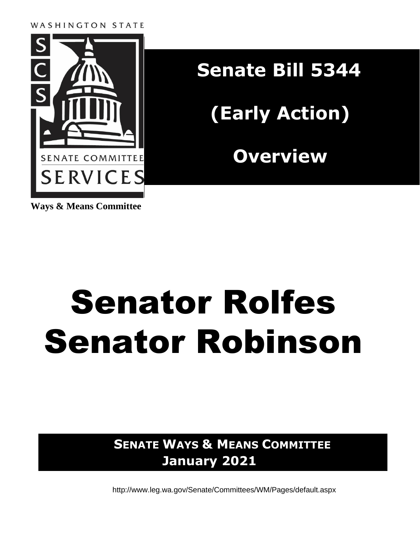#### WASHINGTON STATE



**Senate Bill 5344 (Early Action) Overview**

**Ways & Means Committee**

# Senator Rolfes Senator Robinson

**SENATE WAYS & MEANS COMMITTEE January 2021**

<http://www.leg.wa.gov/Senate/Committees/WM/Pages/default.aspx>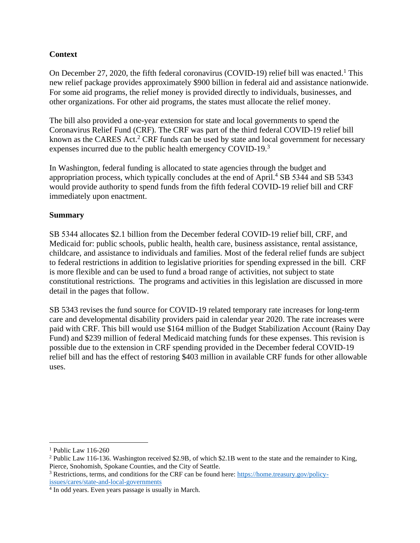## **Context**

On December 27, 2020, the fifth federal coronavirus (COVID-19) relief bill was enacted.<sup>1</sup> This new relief package provides approximately \$900 billion in federal aid and assistance nationwide. For some aid programs, the relief money is provided directly to individuals, businesses, and other organizations. For other aid programs, the states must allocate the relief money.

The bill also provided a one-year extension for state and local governments to spend the Coronavirus Relief Fund (CRF). The CRF was part of the third federal COVID-19 relief bill known as the CARES Act.<sup>2</sup> CRF funds can be used by state and local government for necessary expenses incurred due to the public health emergency COVID-19.<sup>3</sup>

In Washington, federal funding is allocated to state agencies through the budget and appropriation process, which typically concludes at the end of April.<sup>4</sup> SB 5344 and SB 5343 would provide authority to spend funds from the fifth federal COVID-19 relief bill and CRF immediately upon enactment.

#### **Summary**

SB 5344 allocates \$2.1 billion from the December federal COVID-19 relief bill, CRF, and Medicaid for: public schools, public health, health care, business assistance, rental assistance, childcare, and assistance to individuals and families. Most of the federal relief funds are subject to federal restrictions in addition to legislative priorities for spending expressed in the bill. CRF is more flexible and can be used to fund a broad range of activities, not subject to state constitutional restrictions. The programs and activities in this legislation are discussed in more detail in the pages that follow.

SB 5343 revises the fund source for COVID-19 related temporary rate increases for long-term care and developmental disability providers paid in calendar year 2020. The rate increases were paid with CRF. This bill would use \$164 million of the Budget Stabilization Account (Rainy Day Fund) and \$239 million of federal Medicaid matching funds for these expenses. This revision is possible due to the extension in CRF spending provided in the December federal COVID-19 relief bill and has the effect of restoring \$403 million in available CRF funds for other allowable uses.

<sup>&</sup>lt;sup>1</sup> Public Law 116-260

<sup>2</sup> Public Law 116-136. Washington received \$2.9B, of which \$2.1B went to the state and the remainder to King, Pierce, Snohomish, Spokane Counties, and the City of Seattle.

<sup>3</sup> Restrictions, terms, and conditions for the CRF can be found here: [https://home.treasury.gov/policy](https://home.treasury.gov/policy-issues/cares/state-and-local-governments)[issues/cares/state-and-local-governments](https://home.treasury.gov/policy-issues/cares/state-and-local-governments)

<sup>4</sup> In odd years. Even years passage is usually in March.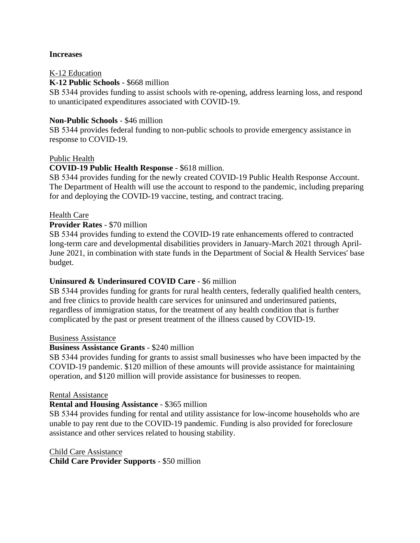#### **Increases**

#### K-12 Education

**K-12 Public Schools** - \$668 million

SB 5344 provides funding to assist schools with re-opening, address learning loss, and respond to unanticipated expenditures associated with COVID-19.

#### **Non-Public Schools** - \$46 million

SB 5344 provides federal funding to non-public schools to provide emergency assistance in response to COVID-19.

#### Public Health

#### **COVID-19 Public Health Response** - \$618 million.

SB 5344 provides funding for the newly created COVID-19 Public Health Response Account. The Department of Health will use the account to respond to the pandemic, including preparing for and deploying the COVID-19 vaccine, testing, and contract tracing.

#### Health Care

#### **Provider Rates** - \$70 million

SB 5344 provides funding to extend the COVID-19 rate enhancements offered to contracted long-term care and developmental disabilities providers in January-March 2021 through April-June 2021, in combination with state funds in the Department of Social & Health Services' base budget.

#### **Uninsured & Underinsured COVID Care** - \$6 million

SB 5344 provides funding for grants for rural health centers, federally qualified health centers, and free clinics to provide health care services for uninsured and underinsured patients, regardless of immigration status, for the treatment of any health condition that is further complicated by the past or present treatment of the illness caused by COVID-19.

#### Business Assistance

#### **Business Assistance Grants** - \$240 million

SB 5344 provides funding for grants to assist small businesses who have been impacted by the COVID-19 pandemic. \$120 million of these amounts will provide assistance for maintaining operation, and \$120 million will provide assistance for businesses to reopen.

#### Rental Assistance

#### **Rental and Housing Assistance** - \$365 million

SB 5344 provides funding for rental and utility assistance for low-income households who are unable to pay rent due to the COVID-19 pandemic. Funding is also provided for foreclosure assistance and other services related to housing stability.

#### Child Care Assistance

**Child Care Provider Supports** - \$50 million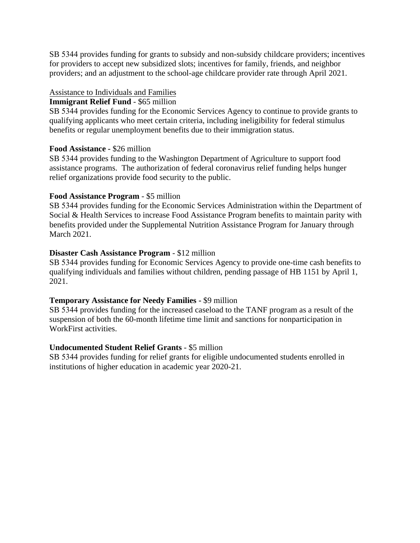SB 5344 provides funding for grants to subsidy and non-subsidy childcare providers; incentives for providers to accept new subsidized slots; incentives for family, friends, and neighbor providers; and an adjustment to the school-age childcare provider rate through April 2021.

## Assistance to Individuals and Families

#### **Immigrant Relief Fund** - \$65 million

SB 5344 provides funding for the Economic Services Agency to continue to provide grants to qualifying applicants who meet certain criteria, including ineligibility for federal stimulus benefits or regular unemployment benefits due to their immigration status.

#### **Food Assistance -** \$26 million

SB 5344 provides funding to the Washington Department of Agriculture to support food assistance programs. The authorization of federal coronavirus relief funding helps hunger relief organizations provide food security to the public.

#### **Food Assistance Program** - \$5 million

SB 5344 provides funding for the Economic Services Administration within the Department of Social & Health Services to increase Food Assistance Program benefits to maintain parity with benefits provided under the Supplemental Nutrition Assistance Program for January through March 2021.

#### **Disaster Cash Assistance Program** - \$12 million

SB 5344 provides funding for Economic Services Agency to provide one-time cash benefits to qualifying individuals and families without children, pending passage of HB 1151 by April 1, 2021.

#### **Temporary Assistance for Needy Families -** \$9 million

SB 5344 provides funding for the increased caseload to the TANF program as a result of the suspension of both the 60-month lifetime time limit and sanctions for nonparticipation in WorkFirst activities.

#### **Undocumented Student Relief Grants** - \$5 million

SB 5344 provides funding for relief grants for eligible undocumented students enrolled in institutions of higher education in academic year 2020-21.